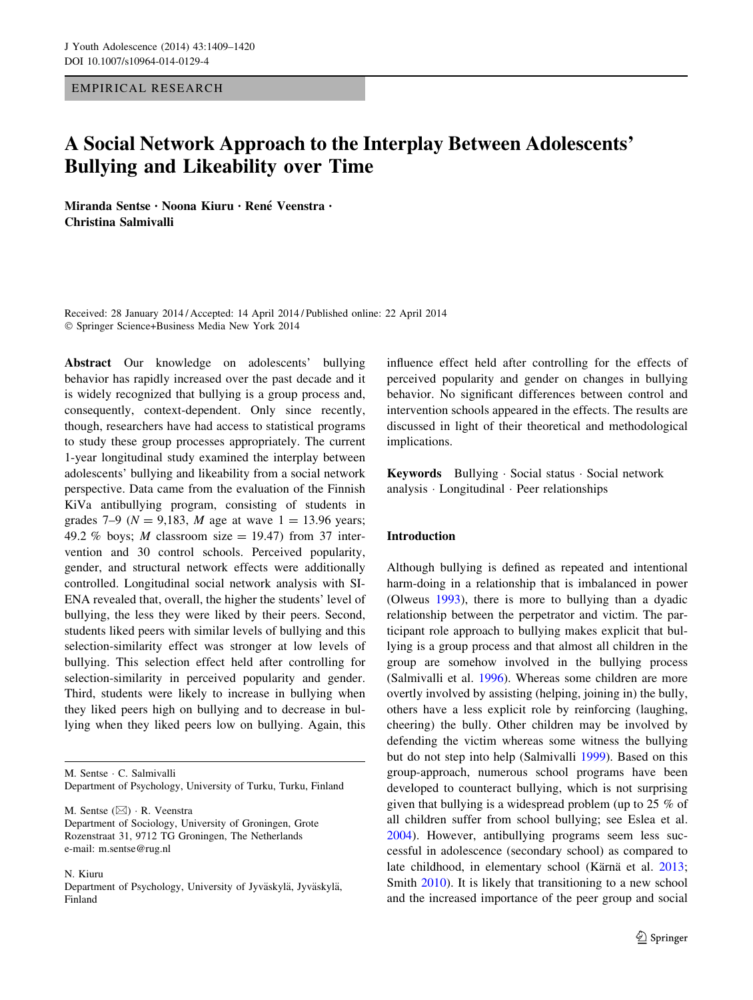## EMPIRICAL RESEARCH

# A Social Network Approach to the Interplay Between Adolescents' Bullying and Likeability over Time

Miranda Sentse · Noona Kiuru · René Veenstra · Christina Salmivalli

Received: 28 January 2014 / Accepted: 14 April 2014 / Published online: 22 April 2014 - Springer Science+Business Media New York 2014

Abstract Our knowledge on adolescents' bullying behavior has rapidly increased over the past decade and it is widely recognized that bullying is a group process and, consequently, context-dependent. Only since recently, though, researchers have had access to statistical programs to study these group processes appropriately. The current 1-year longitudinal study examined the interplay between adolescents' bullying and likeability from a social network perspective. Data came from the evaluation of the Finnish KiVa antibullying program, consisting of students in grades 7–9 ( $N = 9,183$ , M age at wave  $1 = 13.96$  years; 49.2 % boys; *M* classroom size = 19.47) from 37 intervention and 30 control schools. Perceived popularity, gender, and structural network effects were additionally controlled. Longitudinal social network analysis with SI-ENA revealed that, overall, the higher the students' level of bullying, the less they were liked by their peers. Second, students liked peers with similar levels of bullying and this selection-similarity effect was stronger at low levels of bullying. This selection effect held after controlling for selection-similarity in perceived popularity and gender. Third, students were likely to increase in bullying when they liked peers high on bullying and to decrease in bullying when they liked peers low on bullying. Again, this

M. Sentse - C. Salmivalli

Department of Psychology, University of Turku, Turku, Finland

M. Sentse  $(\boxtimes) \cdot R$ . Veenstra

Department of Sociology, University of Groningen, Grote Rozenstraat 31, 9712 TG Groningen, The Netherlands e-mail: m.sentse@rug.nl

N. Kiuru

Department of Psychology, University of Jyväskylä, Jyväskylä, Finland

influence effect held after controlling for the effects of perceived popularity and gender on changes in bullying behavior. No significant differences between control and intervention schools appeared in the effects. The results are discussed in light of their theoretical and methodological implications.

Keywords Bullying - Social status - Social network analysis - Longitudinal - Peer relationships

# Introduction

Although bullying is defined as repeated and intentional harm-doing in a relationship that is imbalanced in power (Olweus [1993\)](#page-10-0), there is more to bullying than a dyadic relationship between the perpetrator and victim. The participant role approach to bullying makes explicit that bullying is a group process and that almost all children in the group are somehow involved in the bullying process (Salmivalli et al. [1996\)](#page-10-0). Whereas some children are more overtly involved by assisting (helping, joining in) the bully, others have a less explicit role by reinforcing (laughing, cheering) the bully. Other children may be involved by defending the victim whereas some witness the bullying but do not step into help (Salmivalli [1999](#page-10-0)). Based on this group-approach, numerous school programs have been developed to counteract bullying, which is not surprising given that bullying is a widespread problem (up to 25 % of all children suffer from school bullying; see Eslea et al. [2004](#page-9-0)). However, antibullying programs seem less successful in adolescence (secondary school) as compared to late childhood, in elementary school (Kärnä et al. [2013](#page-10-0); Smith [2010](#page-10-0)). It is likely that transitioning to a new school and the increased importance of the peer group and social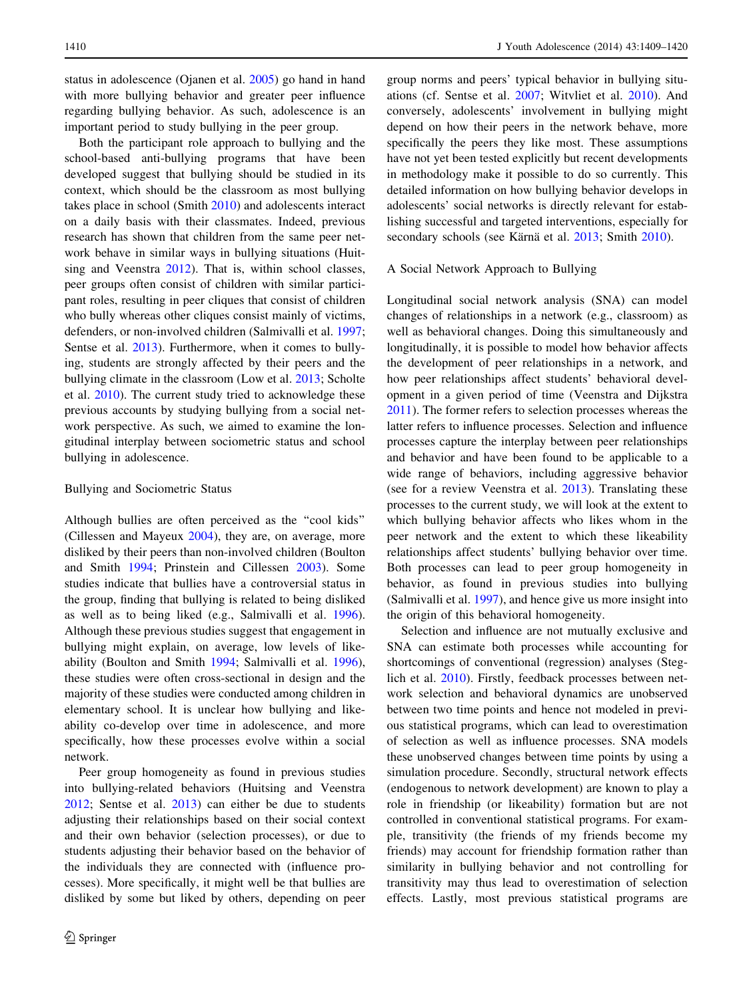status in adolescence (Ojanen et al. [2005](#page-10-0)) go hand in hand with more bullying behavior and greater peer influence regarding bullying behavior. As such, adolescence is an important period to study bullying in the peer group.

Both the participant role approach to bullying and the school-based anti-bullying programs that have been developed suggest that bullying should be studied in its context, which should be the classroom as most bullying takes place in school (Smith [2010](#page-10-0)) and adolescents interact on a daily basis with their classmates. Indeed, previous research has shown that children from the same peer network behave in similar ways in bullying situations (Huitsing and Veenstra [2012](#page-10-0)). That is, within school classes, peer groups often consist of children with similar participant roles, resulting in peer cliques that consist of children who bully whereas other cliques consist mainly of victims, defenders, or non-involved children (Salmivalli et al. [1997](#page-10-0); Sentse et al. [2013\)](#page-10-0). Furthermore, when it comes to bullying, students are strongly affected by their peers and the bullying climate in the classroom (Low et al. [2013;](#page-10-0) Scholte et al. [2010\)](#page-10-0). The current study tried to acknowledge these previous accounts by studying bullying from a social network perspective. As such, we aimed to examine the longitudinal interplay between sociometric status and school bullying in adolescence.

#### Bullying and Sociometric Status

Although bullies are often perceived as the ''cool kids'' (Cillessen and Mayeux [2004](#page-9-0)), they are, on average, more disliked by their peers than non-involved children (Boulton and Smith [1994](#page-9-0); Prinstein and Cillessen [2003\)](#page-10-0). Some studies indicate that bullies have a controversial status in the group, finding that bullying is related to being disliked as well as to being liked (e.g., Salmivalli et al. [1996](#page-10-0)). Although these previous studies suggest that engagement in bullying might explain, on average, low levels of likeability (Boulton and Smith [1994](#page-9-0); Salmivalli et al. [1996](#page-10-0)), these studies were often cross-sectional in design and the majority of these studies were conducted among children in elementary school. It is unclear how bullying and likeability co-develop over time in adolescence, and more specifically, how these processes evolve within a social network.

Peer group homogeneity as found in previous studies into bullying-related behaviors (Huitsing and Veenstra [2012;](#page-10-0) Sentse et al. [2013\)](#page-10-0) can either be due to students adjusting their relationships based on their social context and their own behavior (selection processes), or due to students adjusting their behavior based on the behavior of the individuals they are connected with (influence processes). More specifically, it might well be that bullies are disliked by some but liked by others, depending on peer group norms and peers' typical behavior in bullying situations (cf. Sentse et al. [2007;](#page-10-0) Witvliet et al. [2010](#page-10-0)). And conversely, adolescents' involvement in bullying might depend on how their peers in the network behave, more specifically the peers they like most. These assumptions have not yet been tested explicitly but recent developments in methodology make it possible to do so currently. This detailed information on how bullying behavior develops in adolescents' social networks is directly relevant for establishing successful and targeted interventions, especially for secondary schools (see Kärnä et al. [2013](#page-10-0); Smith [2010](#page-10-0)).

## A Social Network Approach to Bullying

Longitudinal social network analysis (SNA) can model changes of relationships in a network (e.g., classroom) as well as behavioral changes. Doing this simultaneously and longitudinally, it is possible to model how behavior affects the development of peer relationships in a network, and how peer relationships affect students' behavioral development in a given period of time (Veenstra and Dijkstra [2011](#page-10-0)). The former refers to selection processes whereas the latter refers to influence processes. Selection and influence processes capture the interplay between peer relationships and behavior and have been found to be applicable to a wide range of behaviors, including aggressive behavior (see for a review Veenstra et al. [2013\)](#page-10-0). Translating these processes to the current study, we will look at the extent to which bullying behavior affects who likes whom in the peer network and the extent to which these likeability relationships affect students' bullying behavior over time. Both processes can lead to peer group homogeneity in behavior, as found in previous studies into bullying (Salmivalli et al. [1997\)](#page-10-0), and hence give us more insight into the origin of this behavioral homogeneity.

Selection and influence are not mutually exclusive and SNA can estimate both processes while accounting for shortcomings of conventional (regression) analyses (Steglich et al. [2010\)](#page-10-0). Firstly, feedback processes between network selection and behavioral dynamics are unobserved between two time points and hence not modeled in previous statistical programs, which can lead to overestimation of selection as well as influence processes. SNA models these unobserved changes between time points by using a simulation procedure. Secondly, structural network effects (endogenous to network development) are known to play a role in friendship (or likeability) formation but are not controlled in conventional statistical programs. For example, transitivity (the friends of my friends become my friends) may account for friendship formation rather than similarity in bullying behavior and not controlling for transitivity may thus lead to overestimation of selection effects. Lastly, most previous statistical programs are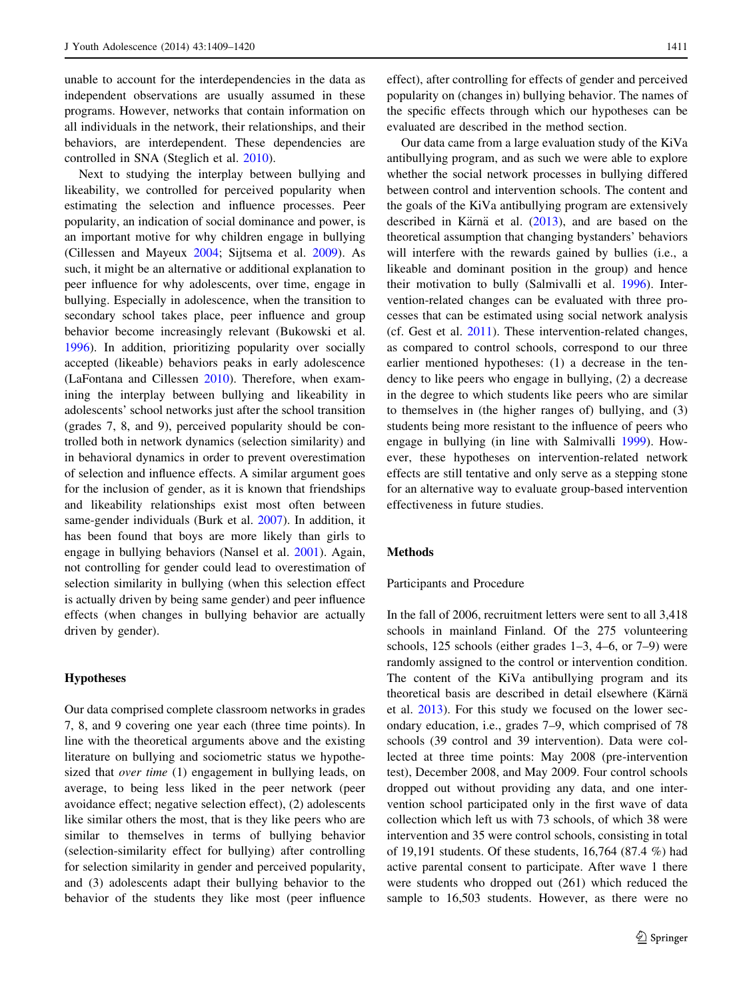unable to account for the interdependencies in the data as independent observations are usually assumed in these programs. However, networks that contain information on all individuals in the network, their relationships, and their behaviors, are interdependent. These dependencies are controlled in SNA (Steglich et al. [2010](#page-10-0)).

Next to studying the interplay between bullying and likeability, we controlled for perceived popularity when estimating the selection and influence processes. Peer popularity, an indication of social dominance and power, is an important motive for why children engage in bullying (Cillessen and Mayeux [2004](#page-9-0); Sijtsema et al. [2009](#page-10-0)). As such, it might be an alternative or additional explanation to peer influence for why adolescents, over time, engage in bullying. Especially in adolescence, when the transition to secondary school takes place, peer influence and group behavior become increasingly relevant (Bukowski et al. [1996\)](#page-9-0). In addition, prioritizing popularity over socially accepted (likeable) behaviors peaks in early adolescence (LaFontana and Cillessen [2010](#page-10-0)). Therefore, when examining the interplay between bullying and likeability in adolescents' school networks just after the school transition (grades 7, 8, and 9), perceived popularity should be controlled both in network dynamics (selection similarity) and in behavioral dynamics in order to prevent overestimation of selection and influence effects. A similar argument goes for the inclusion of gender, as it is known that friendships and likeability relationships exist most often between same-gender individuals (Burk et al. [2007\)](#page-9-0). In addition, it has been found that boys are more likely than girls to engage in bullying behaviors (Nansel et al. [2001\)](#page-10-0). Again, not controlling for gender could lead to overestimation of selection similarity in bullying (when this selection effect is actually driven by being same gender) and peer influence effects (when changes in bullying behavior are actually driven by gender).

## Hypotheses

Our data comprised complete classroom networks in grades 7, 8, and 9 covering one year each (three time points). In line with the theoretical arguments above and the existing literature on bullying and sociometric status we hypothesized that *over time* (1) engagement in bullying leads, on average, to being less liked in the peer network (peer avoidance effect; negative selection effect), (2) adolescents like similar others the most, that is they like peers who are similar to themselves in terms of bullying behavior (selection-similarity effect for bullying) after controlling for selection similarity in gender and perceived popularity, and (3) adolescents adapt their bullying behavior to the behavior of the students they like most (peer influence effect), after controlling for effects of gender and perceived popularity on (changes in) bullying behavior. The names of the specific effects through which our hypotheses can be evaluated are described in the method section.

Our data came from a large evaluation study of the KiVa antibullying program, and as such we were able to explore whether the social network processes in bullying differed between control and intervention schools. The content and the goals of the KiVa antibullying program are extensively described in Kärnä et al.  $(2013)$  $(2013)$ , and are based on the theoretical assumption that changing bystanders' behaviors will interfere with the rewards gained by bullies (i.e., a likeable and dominant position in the group) and hence their motivation to bully (Salmivalli et al. [1996](#page-10-0)). Intervention-related changes can be evaluated with three processes that can be estimated using social network analysis (cf. Gest et al. [2011\)](#page-10-0). These intervention-related changes, as compared to control schools, correspond to our three earlier mentioned hypotheses: (1) a decrease in the tendency to like peers who engage in bullying, (2) a decrease in the degree to which students like peers who are similar to themselves in (the higher ranges of) bullying, and (3) students being more resistant to the influence of peers who engage in bullying (in line with Salmivalli [1999](#page-10-0)). However, these hypotheses on intervention-related network effects are still tentative and only serve as a stepping stone for an alternative way to evaluate group-based intervention effectiveness in future studies.

## Methods

#### Participants and Procedure

In the fall of 2006, recruitment letters were sent to all 3,418 schools in mainland Finland. Of the 275 volunteering schools, 125 schools (either grades 1–3, 4–6, or 7–9) were randomly assigned to the control or intervention condition. The content of the KiVa antibullying program and its theoretical basis are described in detail elsewhere (Kärnä et al. [2013\)](#page-10-0). For this study we focused on the lower secondary education, i.e., grades 7–9, which comprised of 78 schools (39 control and 39 intervention). Data were collected at three time points: May 2008 (pre-intervention test), December 2008, and May 2009. Four control schools dropped out without providing any data, and one intervention school participated only in the first wave of data collection which left us with 73 schools, of which 38 were intervention and 35 were control schools, consisting in total of 19,191 students. Of these students, 16,764 (87.4 %) had active parental consent to participate. After wave 1 there were students who dropped out (261) which reduced the sample to 16,503 students. However, as there were no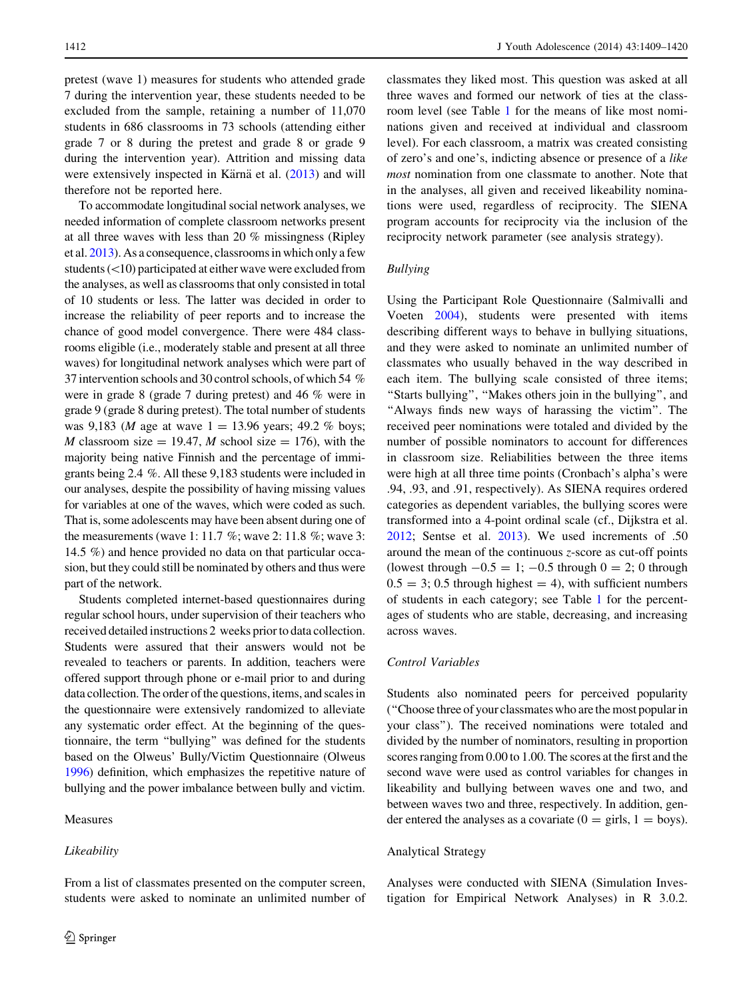pretest (wave 1) measures for students who attended grade 7 during the intervention year, these students needed to be excluded from the sample, retaining a number of 11,070 students in 686 classrooms in 73 schools (attending either grade 7 or 8 during the pretest and grade 8 or grade 9 during the intervention year). Attrition and missing data were extensively inspected in Kärnä et al.  $(2013)$  $(2013)$  and will therefore not be reported here.

To accommodate longitudinal social network analyses, we needed information of complete classroom networks present at all three waves with less than 20 % missingness (Ripley et al. [2013](#page-10-0)). As a consequence, classrooms in which only a few students  $(\leq10)$  participated at either wave were excluded from the analyses, as well as classrooms that only consisted in total of 10 students or less. The latter was decided in order to increase the reliability of peer reports and to increase the chance of good model convergence. There were 484 classrooms eligible (i.e., moderately stable and present at all three waves) for longitudinal network analyses which were part of 37 intervention schools and 30 control schools, of which 54 % were in grade 8 (grade 7 during pretest) and 46 % were in grade 9 (grade 8 during pretest). The total number of students was 9,183 (*M* age at wave  $1 = 13.96$  years; 49.2 % boys; M classroom size  $= 19.47$ , M school size  $= 176$ ), with the majority being native Finnish and the percentage of immigrants being 2.4 %. All these 9,183 students were included in our analyses, despite the possibility of having missing values for variables at one of the waves, which were coded as such. That is, some adolescents may have been absent during one of the measurements (wave 1: 11.7 %; wave 2: 11.8 %; wave 3: 14.5 %) and hence provided no data on that particular occasion, but they could still be nominated by others and thus were part of the network.

Students completed internet-based questionnaires during regular school hours, under supervision of their teachers who received detailed instructions 2 weeks prior to data collection. Students were assured that their answers would not be revealed to teachers or parents. In addition, teachers were offered support through phone or e-mail prior to and during data collection. The order of the questions, items, and scales in the questionnaire were extensively randomized to alleviate any systematic order effect. At the beginning of the questionnaire, the term ''bullying'' was defined for the students based on the Olweus' Bully/Victim Questionnaire (Olweus [1996\)](#page-10-0) definition, which emphasizes the repetitive nature of bullying and the power imbalance between bully and victim.

# Measures

## Likeability

classmates they liked most. This question was asked at all three waves and formed our network of ties at the classroom level (see Table [1](#page-4-0) for the means of like most nominations given and received at individual and classroom level). For each classroom, a matrix was created consisting of zero's and one's, indicting absence or presence of a like most nomination from one classmate to another. Note that in the analyses, all given and received likeability nominations were used, regardless of reciprocity. The SIENA program accounts for reciprocity via the inclusion of the reciprocity network parameter (see analysis strategy).

## Bullying

Using the Participant Role Questionnaire (Salmivalli and Voeten [2004\)](#page-10-0), students were presented with items describing different ways to behave in bullying situations, and they were asked to nominate an unlimited number of classmates who usually behaved in the way described in each item. The bullying scale consisted of three items; "Starts bullying", "Makes others join in the bullying", and "Always finds new ways of harassing the victim". The received peer nominations were totaled and divided by the number of possible nominators to account for differences in classroom size. Reliabilities between the three items were high at all three time points (Cronbach's alpha's were .94, .93, and .91, respectively). As SIENA requires ordered categories as dependent variables, the bullying scores were transformed into a 4-point ordinal scale (cf., Dijkstra et al. [2012](#page-9-0); Sentse et al. [2013\)](#page-10-0). We used increments of .50 around the mean of the continuous z-score as cut-off points (lowest through  $-0.5 = 1$ ;  $-0.5$  through  $0 = 2$ ; 0 through  $0.5 = 3$ ; 0.5 through highest = 4), with sufficient numbers of students in each category; see Table [1](#page-4-0) for the percentages of students who are stable, decreasing, and increasing across waves.

# Control Variables

Students also nominated peers for perceived popularity (''Choose three of your classmates who are the most popular in your class''). The received nominations were totaled and divided by the number of nominators, resulting in proportion scores ranging from 0.00 to 1.00. The scores at the first and the second wave were used as control variables for changes in likeability and bullying between waves one and two, and between waves two and three, respectively. In addition, gender entered the analyses as a covariate ( $0 = \text{girls}, 1 = \text{boys}$ ).

## Analytical Strategy

Analyses were conducted with SIENA (Simulation Investigation for Empirical Network Analyses) in R 3.0.2.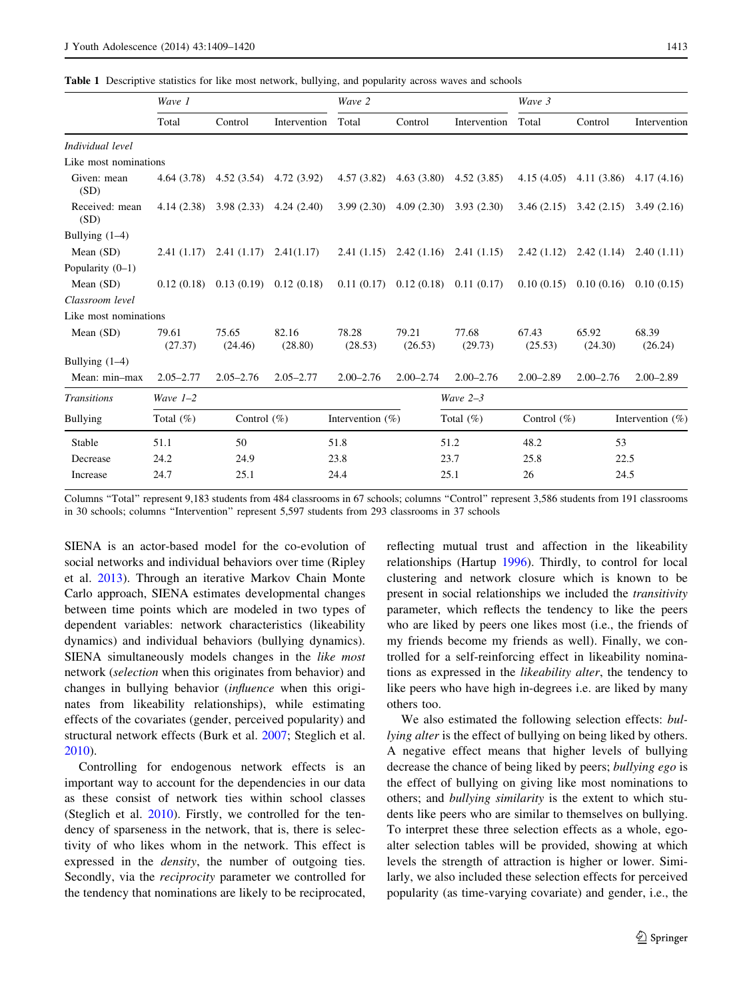<span id="page-4-0"></span>Table 1 Descriptive statistics for like most network, bullying, and popularity across waves and schools

|                        | Wave 1           |                                        |                  | Wave 2              |                  |                                        | Wave 3           |                                        |                     |  |
|------------------------|------------------|----------------------------------------|------------------|---------------------|------------------|----------------------------------------|------------------|----------------------------------------|---------------------|--|
|                        | Total            | Control                                | Intervention     | Total               | Control          | Intervention                           | Total            | Control                                | Intervention        |  |
| Individual level       |                  |                                        |                  |                     |                  |                                        |                  |                                        |                     |  |
| Like most nominations  |                  |                                        |                  |                     |                  |                                        |                  |                                        |                     |  |
| Given: mean<br>(SD)    | 4.64(3.78)       | 4.52(3.54)                             | 4.72(3.92)       | 4.57(3.82)          | 4.63(3.80)       | 4.52(3.85)                             |                  | $4.15(4.05)$ $4.11(3.86)$ $4.17(4.16)$ |                     |  |
| Received: mean<br>(SD) |                  | $4.14(2.38)$ $3.98(2.33)$              | 4.24(2.40)       | 3.99(2.30)          | 4.09(2.30)       | 3.93(2.30)                             |                  | $3.46(2.15)$ $3.42(2.15)$ $3.49(2.16)$ |                     |  |
| Bullying $(1-4)$       |                  |                                        |                  |                     |                  |                                        |                  |                                        |                     |  |
| Mean (SD)              |                  | $2.41(1.17)$ $2.41(1.17)$ $2.41(1.17)$ |                  |                     |                  | $2.41(1.15)$ $2.42(1.16)$ $2.41(1.15)$ |                  | $2.42(1.12)$ $2.42(1.14)$ $2.40(1.11)$ |                     |  |
| Popularity $(0-1)$     |                  |                                        |                  |                     |                  |                                        |                  |                                        |                     |  |
| Mean (SD)              |                  | $0.12(0.18)$ $0.13(0.19)$              | 0.12(0.18)       | 0.11(0.17)          | 0.12(0.18)       | 0.11(0.17)                             |                  | $0.10(0.15)$ $0.10(0.16)$              | 0.10(0.15)          |  |
| Classroom level        |                  |                                        |                  |                     |                  |                                        |                  |                                        |                     |  |
| Like most nominations  |                  |                                        |                  |                     |                  |                                        |                  |                                        |                     |  |
| Mean (SD)              | 79.61<br>(27.37) | 75.65<br>(24.46)                       | 82.16<br>(28.80) | 78.28<br>(28.53)    | 79.21<br>(26.53) | 77.68<br>(29.73)                       | 67.43<br>(25.53) | 65.92<br>(24.30)                       | 68.39<br>(26.24)    |  |
| Bullying $(1-4)$       |                  |                                        |                  |                     |                  |                                        |                  |                                        |                     |  |
| Mean: min-max          | $2.05 - 2.77$    | $2.05 - 2.76$                          | $2.05 - 2.77$    | $2.00 - 2.76$       | $2.00 - 2.74$    | $2.00 - 2.76$                          | $2.00 - 2.89$    | $2.00 - 2.76$                          | $2.00 - 2.89$       |  |
| <b>Transitions</b>     | Wave $1-2$       |                                        |                  |                     |                  | Wave $2-3$                             |                  |                                        |                     |  |
| <b>Bullying</b>        | Total $(\%)$     | Control $(\% )$                        |                  | Intervention $(\%)$ |                  | Total $(\%)$                           | Control $(\%)$   |                                        | Intervention $(\%)$ |  |
| Stable                 | 51.1             | 50                                     |                  | 51.8                |                  | 51.2                                   | 48.2             | 53                                     |                     |  |
| Decrease               | 24.2             | 24.9                                   |                  | 23.8                |                  | 23.7                                   | 25.8<br>22.5     |                                        |                     |  |
| Increase               | 24.7             | 25.1                                   |                  | 24.4                |                  | 25.1                                   | 26               |                                        | 24.5                |  |

Columns ''Total'' represent 9,183 students from 484 classrooms in 67 schools; columns ''Control'' represent 3,586 students from 191 classrooms in 30 schools; columns "Intervention" represent 5,597 students from 293 classrooms in 37 schools

SIENA is an actor-based model for the co-evolution of social networks and individual behaviors over time (Ripley et al. [2013](#page-10-0)). Through an iterative Markov Chain Monte Carlo approach, SIENA estimates developmental changes between time points which are modeled in two types of dependent variables: network characteristics (likeability dynamics) and individual behaviors (bullying dynamics). SIENA simultaneously models changes in the like most network (selection when this originates from behavior) and changes in bullying behavior (influence when this originates from likeability relationships), while estimating effects of the covariates (gender, perceived popularity) and structural network effects (Burk et al. [2007](#page-9-0); Steglich et al. [2010\)](#page-10-0).

Controlling for endogenous network effects is an important way to account for the dependencies in our data as these consist of network ties within school classes (Steglich et al. [2010](#page-10-0)). Firstly, we controlled for the tendency of sparseness in the network, that is, there is selectivity of who likes whom in the network. This effect is expressed in the density, the number of outgoing ties. Secondly, via the *reciprocity* parameter we controlled for the tendency that nominations are likely to be reciprocated,

reflecting mutual trust and affection in the likeability relationships (Hartup [1996\)](#page-10-0). Thirdly, to control for local clustering and network closure which is known to be present in social relationships we included the transitivity parameter, which reflects the tendency to like the peers who are liked by peers one likes most (i.e., the friends of my friends become my friends as well). Finally, we controlled for a self-reinforcing effect in likeability nominations as expressed in the likeability alter, the tendency to like peers who have high in-degrees i.e. are liked by many others too.

We also estimated the following selection effects: bullying alter is the effect of bullying on being liked by others. A negative effect means that higher levels of bullying decrease the chance of being liked by peers; bullying ego is the effect of bullying on giving like most nominations to others; and bullying similarity is the extent to which students like peers who are similar to themselves on bullying. To interpret these three selection effects as a whole, egoalter selection tables will be provided, showing at which levels the strength of attraction is higher or lower. Similarly, we also included these selection effects for perceived popularity (as time-varying covariate) and gender, i.e., the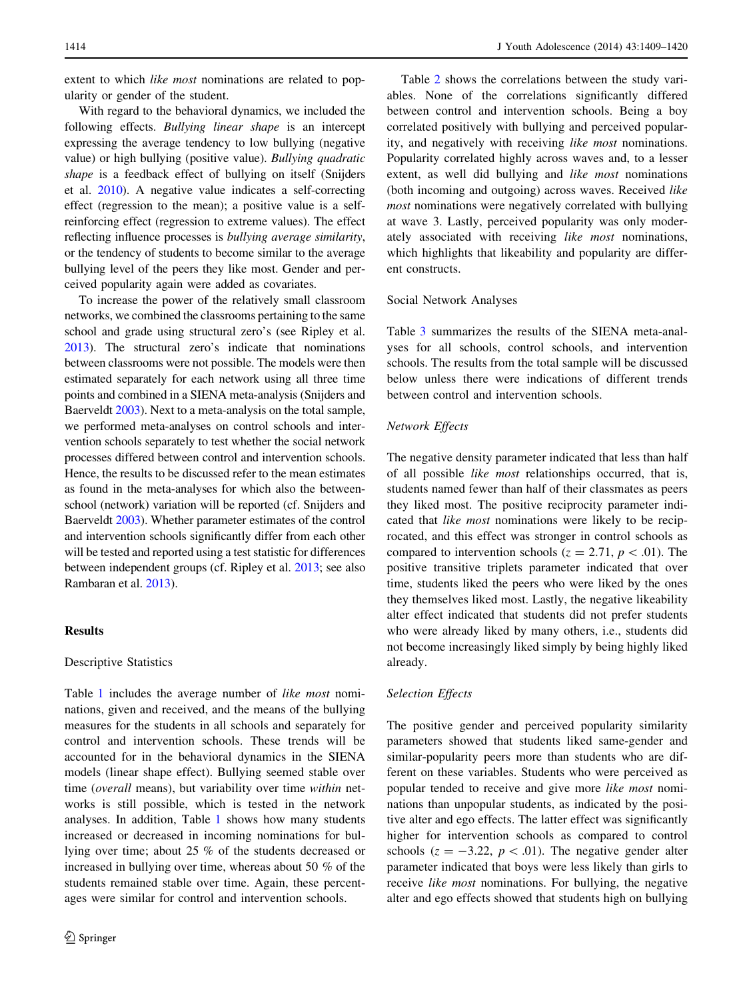extent to which *like most* nominations are related to popularity or gender of the student.

With regard to the behavioral dynamics, we included the following effects. Bullying linear shape is an intercept expressing the average tendency to low bullying (negative value) or high bullying (positive value). Bullying quadratic shape is a feedback effect of bullying on itself (Snijders et al. [2010\)](#page-10-0). A negative value indicates a self-correcting effect (regression to the mean); a positive value is a selfreinforcing effect (regression to extreme values). The effect reflecting influence processes is bullying average similarity, or the tendency of students to become similar to the average bullying level of the peers they like most. Gender and perceived popularity again were added as covariates.

To increase the power of the relatively small classroom networks, we combined the classrooms pertaining to the same school and grade using structural zero's (see Ripley et al. [2013\)](#page-10-0). The structural zero's indicate that nominations between classrooms were not possible. The models were then estimated separately for each network using all three time points and combined in a SIENA meta-analysis (Snijders and Baerveldt [2003\)](#page-10-0). Next to a meta-analysis on the total sample, we performed meta-analyses on control schools and intervention schools separately to test whether the social network processes differed between control and intervention schools. Hence, the results to be discussed refer to the mean estimates as found in the meta-analyses for which also the betweenschool (network) variation will be reported (cf. Snijders and Baerveldt [2003](#page-10-0)). Whether parameter estimates of the control and intervention schools significantly differ from each other will be tested and reported using a test statistic for differences between independent groups (cf. Ripley et al. [2013;](#page-10-0) see also Rambaran et al. [2013\)](#page-10-0).

## Results

#### Descriptive Statistics

Table [1](#page-4-0) includes the average number of like most nominations, given and received, and the means of the bullying measures for the students in all schools and separately for control and intervention schools. These trends will be accounted for in the behavioral dynamics in the SIENA models (linear shape effect). Bullying seemed stable over time (overall means), but variability over time within networks is still possible, which is tested in the network analyses. In addition, Table [1](#page-4-0) shows how many students increased or decreased in incoming nominations for bullying over time; about 25 % of the students decreased or increased in bullying over time, whereas about 50 % of the students remained stable over time. Again, these percentages were similar for control and intervention schools.

Table [2](#page-6-0) shows the correlations between the study variables. None of the correlations significantly differed between control and intervention schools. Being a boy correlated positively with bullying and perceived popularity, and negatively with receiving like most nominations. Popularity correlated highly across waves and, to a lesser extent, as well did bullying and like most nominations (both incoming and outgoing) across waves. Received like most nominations were negatively correlated with bullying at wave 3. Lastly, perceived popularity was only moderately associated with receiving like most nominations, which highlights that likeability and popularity are different constructs.

## Social Network Analyses

Table [3](#page-7-0) summarizes the results of the SIENA meta-analyses for all schools, control schools, and intervention schools. The results from the total sample will be discussed below unless there were indications of different trends between control and intervention schools.

## Network Effects

The negative density parameter indicated that less than half of all possible like most relationships occurred, that is, students named fewer than half of their classmates as peers they liked most. The positive reciprocity parameter indicated that like most nominations were likely to be reciprocated, and this effect was stronger in control schools as compared to intervention schools ( $z = 2.71$ ,  $p < .01$ ). The positive transitive triplets parameter indicated that over time, students liked the peers who were liked by the ones they themselves liked most. Lastly, the negative likeability alter effect indicated that students did not prefer students who were already liked by many others, i.e., students did not become increasingly liked simply by being highly liked already.

## Selection Effects

The positive gender and perceived popularity similarity parameters showed that students liked same-gender and similar-popularity peers more than students who are different on these variables. Students who were perceived as popular tended to receive and give more like most nominations than unpopular students, as indicated by the positive alter and ego effects. The latter effect was significantly higher for intervention schools as compared to control schools ( $z = -3.22$ ,  $p < .01$ ). The negative gender alter parameter indicated that boys were less likely than girls to receive like most nominations. For bullying, the negative alter and ego effects showed that students high on bullying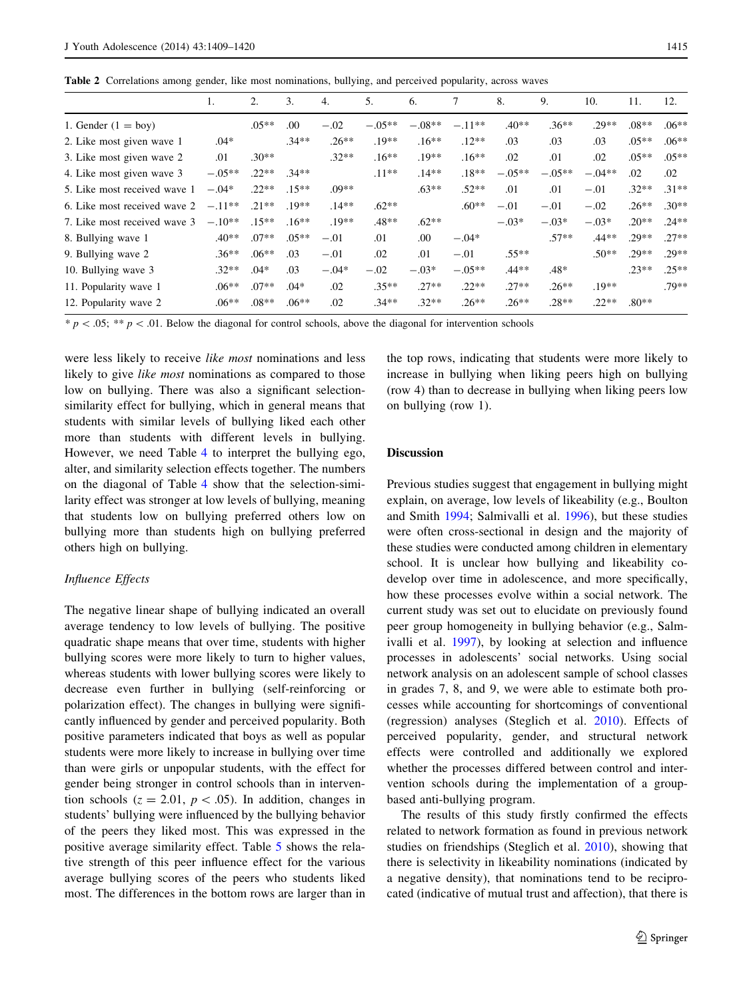<span id="page-6-0"></span>Table 2 Correlations among gender, like most nominations, bullying, and perceived popularity, across waves

|                              | 1.       | 2.      | 3.      | 4.      | 5.       | 6.       |          | 8.       | 9.       | 10.      | 11.     | 12.     |
|------------------------------|----------|---------|---------|---------|----------|----------|----------|----------|----------|----------|---------|---------|
| 1. Gender $(1 = boy)$        |          | $.05**$ | .00.    | $-.02$  | $-.05**$ | $-.08**$ | $-.11**$ | $.40**$  | $.36**$  | $.29**$  | $.08**$ | $.06**$ |
| 2. Like most given wave 1    | $.04*$   |         | $.34**$ | $.26**$ | $.19**$  | $.16**$  | $.12**$  | .03      | .03      | .03      | $.05**$ | $.06**$ |
| 3. Like most given wave 2    | .01      | $.30**$ |         | $.32**$ | $.16**$  | $.19**$  | $.16**$  | .02      | .01      | .02      | $.05**$ | $.05**$ |
| 4. Like most given wave 3    | $-.05**$ | $.22**$ | $.34**$ |         | $.11**$  | $.14**$  | $.18**$  | $-.05**$ | $-.05**$ | $-.04**$ | .02     | .02     |
| 5. Like most received wave 1 | $-.04*$  | $.22**$ | $.15**$ | $.09**$ |          | $.63**$  | $.52**$  | .01      | .01      | $-.01$   | $.32**$ | $.31**$ |
| 6. Like most received wave 2 | $-.11**$ | $.21**$ | $10**$  | $.14**$ | $.62**$  |          | $.60**$  | $-.01$   | $-.01$   | $-.02$   | $.26**$ | $.30**$ |
| 7. Like most received wave 3 | $-.10**$ | $.15**$ | $.16**$ | $.19**$ | $.48**$  | $.62**$  |          | $-.03*$  | $-.03*$  | $-.03*$  | $.20**$ | $.24**$ |
| 8. Bullying wave 1           | $.40**$  | $.07**$ | $.05**$ | $-.01$  | .01      | .00      | $-.04*$  |          | $.57**$  | $.44**$  | $.29**$ | $.27**$ |
| 9. Bullying wave 2           | $.36**$  | $.06**$ | .03     | $-.01$  | .02      | .01      | $-.01$   | $.55**$  |          | $.50**$  | $.29**$ | $.29**$ |
| 10. Bullying wave 3          | $.32**$  | $.04*$  | .03     | $-.04*$ | $-.02$   | $-.03*$  | $-.05**$ | $.44**$  | $.48*$   |          | $.23**$ | $.25**$ |
| 11. Popularity wave 1        | $.06**$  | $.07**$ | $.04*$  | .02     | $.35**$  | $.27**$  | $.22**$  | $.27**$  | $.26**$  | $.19**$  |         | .79**   |
| 12. Popularity wave 2        | $.06**$  | $.08**$ | $.06**$ | .02     | $.34**$  | $.32**$  | $.26**$  | $.26**$  | $.28**$  | $.22**$  | $.80**$ |         |
|                              |          |         |         |         |          |          |          |          |          |          |         |         |

 $* p \lt 0.05; ** p \lt 0.1$ . Below the diagonal for control schools, above the diagonal for intervention schools

were less likely to receive like most nominations and less likely to give *like most* nominations as compared to those low on bullying. There was also a significant selectionsimilarity effect for bullying, which in general means that students with similar levels of bullying liked each other more than students with different levels in bullying. However, we need Table [4](#page-7-0) to interpret the bullying ego, alter, and similarity selection effects together. The numbers on the diagonal of Table [4](#page-7-0) show that the selection-similarity effect was stronger at low levels of bullying, meaning that students low on bullying preferred others low on bullying more than students high on bullying preferred others high on bullying.

#### Influence Effects

The negative linear shape of bullying indicated an overall average tendency to low levels of bullying. The positive quadratic shape means that over time, students with higher bullying scores were more likely to turn to higher values, whereas students with lower bullying scores were likely to decrease even further in bullying (self-reinforcing or polarization effect). The changes in bullying were significantly influenced by gender and perceived popularity. Both positive parameters indicated that boys as well as popular students were more likely to increase in bullying over time than were girls or unpopular students, with the effect for gender being stronger in control schools than in intervention schools ( $z = 2.01$ ,  $p < .05$ ). In addition, changes in students' bullying were influenced by the bullying behavior of the peers they liked most. This was expressed in the positive average similarity effect. Table [5](#page-7-0) shows the relative strength of this peer influence effect for the various average bullying scores of the peers who students liked most. The differences in the bottom rows are larger than in the top rows, indicating that students were more likely to increase in bullying when liking peers high on bullying (row 4) than to decrease in bullying when liking peers low on bullying (row 1).

# Discussion

Previous studies suggest that engagement in bullying might explain, on average, low levels of likeability (e.g., Boulton and Smith [1994;](#page-9-0) Salmivalli et al. [1996\)](#page-10-0), but these studies were often cross-sectional in design and the majority of these studies were conducted among children in elementary school. It is unclear how bullying and likeability codevelop over time in adolescence, and more specifically, how these processes evolve within a social network. The current study was set out to elucidate on previously found peer group homogeneity in bullying behavior (e.g., Salmivalli et al. [1997](#page-10-0)), by looking at selection and influence processes in adolescents' social networks. Using social network analysis on an adolescent sample of school classes in grades 7, 8, and 9, we were able to estimate both processes while accounting for shortcomings of conventional (regression) analyses (Steglich et al. [2010](#page-10-0)). Effects of perceived popularity, gender, and structural network effects were controlled and additionally we explored whether the processes differed between control and intervention schools during the implementation of a groupbased anti-bullying program.

The results of this study firstly confirmed the effects related to network formation as found in previous network studies on friendships (Steglich et al. [2010\)](#page-10-0), showing that there is selectivity in likeability nominations (indicated by a negative density), that nominations tend to be reciprocated (indicative of mutual trust and affection), that there is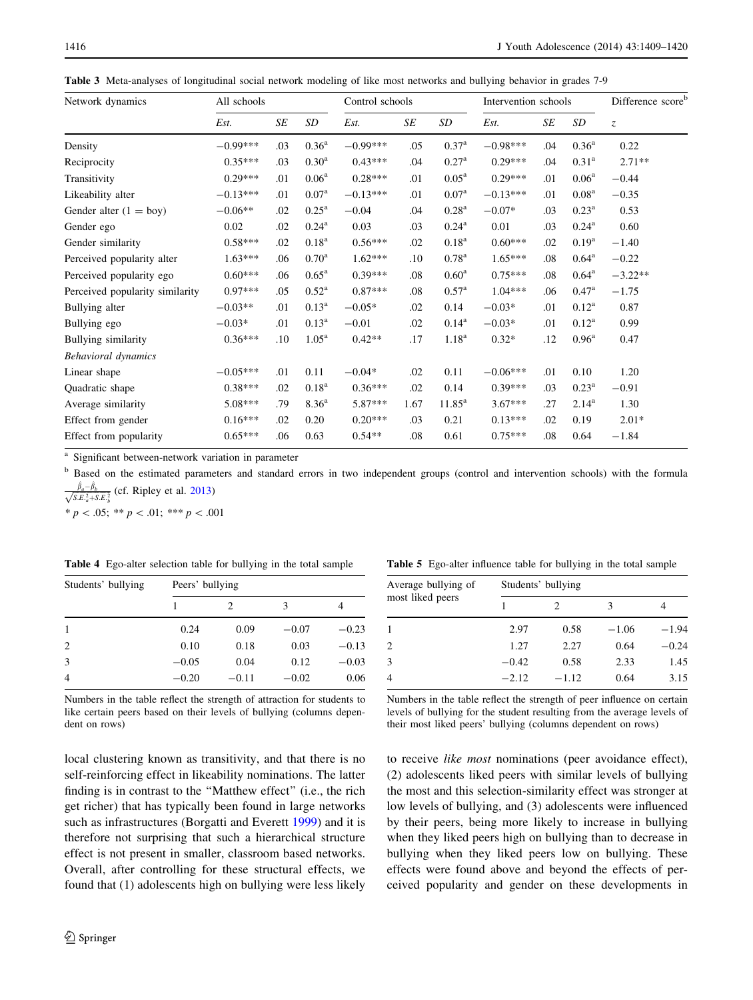<span id="page-7-0"></span>Table 3 Meta-analyses of longitudinal social network modeling of like most networks and bullying behavior in grades 7-9

| Network dynamics                | All schools |          |                   |            | Control schools |                   | Intervention schools |     |                   | Difference score <sup>b</sup> |
|---------------------------------|-------------|----------|-------------------|------------|-----------------|-------------------|----------------------|-----|-------------------|-------------------------------|
|                                 | Est.        | SE<br>SD |                   | Est.       | SE              | SD                | Est.                 | SE  | SD                | $\mathcal{Z}$                 |
| Density                         | $-0.99***$  | .03      | 0.36 <sup>a</sup> | $-0.99***$ | .05             | 0.37 <sup>a</sup> | $-0.98***$           | .04 | $0.36^{a}$        | 0.22                          |
| Reciprocity                     | $0.35***$   | .03      | 0.30 <sup>a</sup> | $0.43***$  | .04             | $0.27^{\rm a}$    | $0.29***$            | .04 | 0.31 <sup>a</sup> | $2.71**$                      |
| Transitivity                    | $0.29***$   | .01      | 0.06 <sup>a</sup> | $0.28***$  | .01             | 0.05 <sup>a</sup> | $0.29***$            | .01 | 0.06 <sup>a</sup> | $-0.44$                       |
| Likeability alter               | $-0.13***$  | .01      | 0.07 <sup>a</sup> | $-0.13***$ | .01             | 0.07 <sup>a</sup> | $-0.13***$           | .01 | 0.08 <sup>a</sup> | $-0.35$                       |
| Gender alter $(1 = boy)$        | $-0.06**$   | .02      | 0.25 <sup>a</sup> | $-0.04$    | .04             | 0.28 <sup>a</sup> | $-0.07*$             | .03 | 0.23 <sup>a</sup> | 0.53                          |
| Gender ego                      | 0.02        | .02      | $0.24^{\rm a}$    | 0.03       | .03             | $0.24^{\rm a}$    | 0.01                 | .03 | $0.24^{\rm a}$    | 0.60                          |
| Gender similarity               | $0.58***$   | .02      | 0.18 <sup>a</sup> | $0.56***$  | .02             | 0.18 <sup>a</sup> | $0.60***$            | .02 | $0.19^{a}$        | $-1.40$                       |
| Perceived popularity alter      | $1.63***$   | .06      | 0.70 <sup>a</sup> | $1.62***$  | .10             | $0.78^{\rm a}$    | $1.65***$            | .08 | $0.64^{\rm a}$    | $-0.22$                       |
| Perceived popularity ego        | $0.60***$   | .06      | 0.65 <sup>a</sup> | $0.39***$  | .08             | 0.60 <sup>a</sup> | $0.75***$            | .08 | $0.64^{\rm a}$    | $-3.22**$                     |
| Perceived popularity similarity | $0.97***$   | .05      | $0.52^{\rm a}$    | $0.87***$  | .08             | $0.57^{\rm a}$    | $1.04***$            | .06 | 0.47 <sup>a</sup> | $-1.75$                       |
| Bullying alter                  | $-0.03**$   | .01      | 0.13 <sup>a</sup> | $-0.05*$   | .02             | 0.14              | $-0.03*$             | .01 | $0.12^a$          | 0.87                          |
| Bullying ego                    | $-0.03*$    | .01      | $0.13^{\rm a}$    | $-0.01$    | .02             | $0.14^{\rm a}$    | $-0.03*$             | .01 | $0.12^{\rm a}$    | 0.99                          |
| Bullying similarity             | $0.36***$   | .10      | 1.05 <sup>a</sup> | $0.42**$   | .17             | 1.18 <sup>a</sup> | $0.32*$              | .12 | 0.96 <sup>a</sup> | 0.47                          |
| <b>Behavioral</b> dynamics      |             |          |                   |            |                 |                   |                      |     |                   |                               |
| Linear shape                    | $-0.05***$  | .01      | 0.11              | $-0.04*$   | .02             | 0.11              | $-0.06***$           | .01 | 0.10              | 1.20                          |
| Quadratic shape                 | $0.38***$   | .02      | 0.18 <sup>a</sup> | $0.36***$  | .02             | 0.14              | $0.39***$            | .03 | 0.23 <sup>a</sup> | $-0.91$                       |
| Average similarity              | 5.08***     | .79      | 8.36 <sup>a</sup> | $5.87***$  | 1.67            | $11.85^{\rm a}$   | $3.67***$            | .27 | $2.14^{a}$        | 1.30                          |
| Effect from gender              | $0.16***$   | .02      | 0.20              | $0.20***$  | .03             | 0.21              | $0.13***$            | .02 | 0.19              | $2.01*$                       |
| Effect from popularity          | $0.65***$   | .06      | 0.63              | $0.54**$   | .08             | 0.61              | $0.75***$            | .08 | 0.64              | $-1.84$                       |

<sup>a</sup> Significant between-network variation in parameter

<sup>b</sup> Based on the estimated parameters and standard errors in two independent groups (control and intervention schools) with the formula  $\frac{\hat{\beta}_a - \hat{\beta}_b}{\sqrt{S.E_a^2 + S.E_b^2}}$  (cf. Ripley et al. [2013](#page-10-0))

 $* p < .05; ** p < .01; ** p < .001$ 

|  | Table 4 Ego-alter selection table for bullying in the total sample |  |  |  |  |  |  |  |  |
|--|--------------------------------------------------------------------|--|--|--|--|--|--|--|--|
|--|--------------------------------------------------------------------|--|--|--|--|--|--|--|--|

| Peers' bullying |                               |         |         |  |  |  |  |  |
|-----------------|-------------------------------|---------|---------|--|--|--|--|--|
|                 | $\mathfrak{D}_{\mathfrak{p}}$ | 3       | 4       |  |  |  |  |  |
| 0.24            | 0.09                          | $-0.07$ | $-0.23$ |  |  |  |  |  |
| 0.10            | 0.18                          | 0.03    | $-0.13$ |  |  |  |  |  |
| $-0.05$         | 0.04                          | 0.12    | $-0.03$ |  |  |  |  |  |
| $-0.20$         | $-0.11$                       | $-0.02$ | 0.06    |  |  |  |  |  |
|                 |                               |         |         |  |  |  |  |  |

Numbers in the table reflect the strength of attraction for students to like certain peers based on their levels of bullying (columns dependent on rows)

local clustering known as transitivity, and that there is no self-reinforcing effect in likeability nominations. The latter finding is in contrast to the ''Matthew effect'' (i.e., the rich get richer) that has typically been found in large networks such as infrastructures (Borgatti and Everett [1999](#page-9-0)) and it is therefore not surprising that such a hierarchical structure effect is not present in smaller, classroom based networks. Overall, after controlling for these structural effects, we found that (1) adolescents high on bullying were less likely

Table 5 Ego-alter influence table for bullying in the total sample

| Average bullying of | Students' bullying |         |         |         |  |  |  |  |  |  |
|---------------------|--------------------|---------|---------|---------|--|--|--|--|--|--|
| most liked peers    |                    | っ       | 3       |         |  |  |  |  |  |  |
|                     | 2.97               | 0.58    | $-1.06$ | $-1.94$ |  |  |  |  |  |  |
| 2                   | 1.27               | 2.27    | 0.64    | $-0.24$ |  |  |  |  |  |  |
| 3                   | $-0.42$            | 0.58    | 2.33    | 1.45    |  |  |  |  |  |  |
| $\overline{4}$      | $-2.12$            | $-1.12$ | 0.64    | 3.15    |  |  |  |  |  |  |

Numbers in the table reflect the strength of peer influence on certain levels of bullying for the student resulting from the average levels of their most liked peers' bullying (columns dependent on rows)

to receive like most nominations (peer avoidance effect), (2) adolescents liked peers with similar levels of bullying the most and this selection-similarity effect was stronger at low levels of bullying, and (3) adolescents were influenced by their peers, being more likely to increase in bullying when they liked peers high on bullying than to decrease in bullying when they liked peers low on bullying. These effects were found above and beyond the effects of perceived popularity and gender on these developments in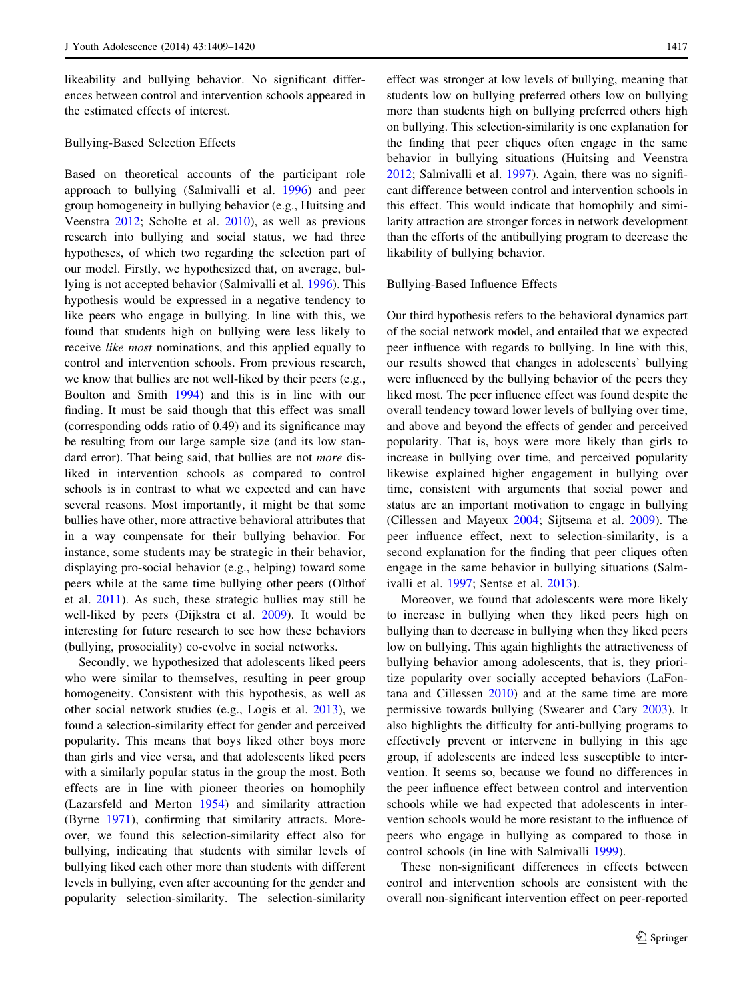likeability and bullying behavior. No significant differences between control and intervention schools appeared in the estimated effects of interest.

# Bullying-Based Selection Effects

Based on theoretical accounts of the participant role approach to bullying (Salmivalli et al. [1996](#page-10-0)) and peer group homogeneity in bullying behavior (e.g., Huitsing and Veenstra [2012;](#page-10-0) Scholte et al. [2010\)](#page-10-0), as well as previous research into bullying and social status, we had three hypotheses, of which two regarding the selection part of our model. Firstly, we hypothesized that, on average, bullying is not accepted behavior (Salmivalli et al. [1996\)](#page-10-0). This hypothesis would be expressed in a negative tendency to like peers who engage in bullying. In line with this, we found that students high on bullying were less likely to receive like most nominations, and this applied equally to control and intervention schools. From previous research, we know that bullies are not well-liked by their peers (e.g., Boulton and Smith [1994](#page-9-0)) and this is in line with our finding. It must be said though that this effect was small (corresponding odds ratio of 0.49) and its significance may be resulting from our large sample size (and its low standard error). That being said, that bullies are not more disliked in intervention schools as compared to control schools is in contrast to what we expected and can have several reasons. Most importantly, it might be that some bullies have other, more attractive behavioral attributes that in a way compensate for their bullying behavior. For instance, some students may be strategic in their behavior, displaying pro-social behavior (e.g., helping) toward some peers while at the same time bullying other peers (Olthof et al. [2011](#page-10-0)). As such, these strategic bullies may still be well-liked by peers (Dijkstra et al. [2009\)](#page-9-0). It would be interesting for future research to see how these behaviors (bullying, prosociality) co-evolve in social networks.

Secondly, we hypothesized that adolescents liked peers who were similar to themselves, resulting in peer group homogeneity. Consistent with this hypothesis, as well as other social network studies (e.g., Logis et al. [2013\)](#page-10-0), we found a selection-similarity effect for gender and perceived popularity. This means that boys liked other boys more than girls and vice versa, and that adolescents liked peers with a similarly popular status in the group the most. Both effects are in line with pioneer theories on homophily (Lazarsfeld and Merton [1954\)](#page-10-0) and similarity attraction (Byrne [1971\)](#page-9-0), confirming that similarity attracts. Moreover, we found this selection-similarity effect also for bullying, indicating that students with similar levels of bullying liked each other more than students with different levels in bullying, even after accounting for the gender and popularity selection-similarity. The selection-similarity effect was stronger at low levels of bullying, meaning that students low on bullying preferred others low on bullying more than students high on bullying preferred others high on bullying. This selection-similarity is one explanation for the finding that peer cliques often engage in the same behavior in bullying situations (Huitsing and Veenstra [2012](#page-10-0); Salmivalli et al. [1997\)](#page-10-0). Again, there was no significant difference between control and intervention schools in this effect. This would indicate that homophily and similarity attraction are stronger forces in network development than the efforts of the antibullying program to decrease the likability of bullying behavior.

## Bullying-Based Influence Effects

Our third hypothesis refers to the behavioral dynamics part of the social network model, and entailed that we expected peer influence with regards to bullying. In line with this, our results showed that changes in adolescents' bullying were influenced by the bullying behavior of the peers they liked most. The peer influence effect was found despite the overall tendency toward lower levels of bullying over time, and above and beyond the effects of gender and perceived popularity. That is, boys were more likely than girls to increase in bullying over time, and perceived popularity likewise explained higher engagement in bullying over time, consistent with arguments that social power and status are an important motivation to engage in bullying (Cillessen and Mayeux [2004;](#page-9-0) Sijtsema et al. [2009](#page-10-0)). The peer influence effect, next to selection-similarity, is a second explanation for the finding that peer cliques often engage in the same behavior in bullying situations (Salmivalli et al. [1997;](#page-10-0) Sentse et al. [2013](#page-10-0)).

Moreover, we found that adolescents were more likely to increase in bullying when they liked peers high on bullying than to decrease in bullying when they liked peers low on bullying. This again highlights the attractiveness of bullying behavior among adolescents, that is, they prioritize popularity over socially accepted behaviors (LaFontana and Cillessen [2010](#page-10-0)) and at the same time are more permissive towards bullying (Swearer and Cary [2003](#page-10-0)). It also highlights the difficulty for anti-bullying programs to effectively prevent or intervene in bullying in this age group, if adolescents are indeed less susceptible to intervention. It seems so, because we found no differences in the peer influence effect between control and intervention schools while we had expected that adolescents in intervention schools would be more resistant to the influence of peers who engage in bullying as compared to those in control schools (in line with Salmivalli [1999\)](#page-10-0).

These non-significant differences in effects between control and intervention schools are consistent with the overall non-significant intervention effect on peer-reported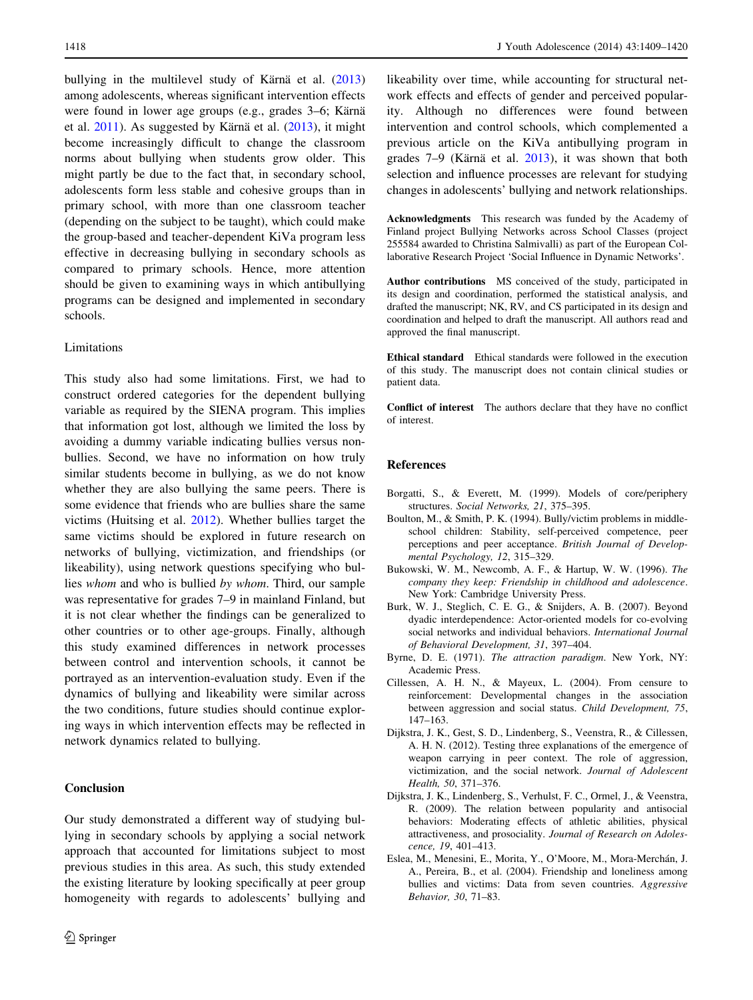<span id="page-9-0"></span>bullying in the multilevel study of Kärnä et al.  $(2013)$  $(2013)$ among adolescents, whereas significant intervention effects were found in lower age groups (e.g., grades 3–6; Kärnä et al.  $2011$ ). As suggested by Kärnä et al.  $(2013)$  $(2013)$ , it might become increasingly difficult to change the classroom norms about bullying when students grow older. This might partly be due to the fact that, in secondary school, adolescents form less stable and cohesive groups than in primary school, with more than one classroom teacher (depending on the subject to be taught), which could make the group-based and teacher-dependent KiVa program less effective in decreasing bullying in secondary schools as compared to primary schools. Hence, more attention should be given to examining ways in which antibullying programs can be designed and implemented in secondary schools.

## Limitations

This study also had some limitations. First, we had to construct ordered categories for the dependent bullying variable as required by the SIENA program. This implies that information got lost, although we limited the loss by avoiding a dummy variable indicating bullies versus nonbullies. Second, we have no information on how truly similar students become in bullying, as we do not know whether they are also bullying the same peers. There is some evidence that friends who are bullies share the same victims (Huitsing et al. [2012](#page-10-0)). Whether bullies target the same victims should be explored in future research on networks of bullying, victimization, and friendships (or likeability), using network questions specifying who bullies whom and who is bullied by whom. Third, our sample was representative for grades 7–9 in mainland Finland, but it is not clear whether the findings can be generalized to other countries or to other age-groups. Finally, although this study examined differences in network processes between control and intervention schools, it cannot be portrayed as an intervention-evaluation study. Even if the dynamics of bullying and likeability were similar across the two conditions, future studies should continue exploring ways in which intervention effects may be reflected in network dynamics related to bullying.

# Conclusion

Our study demonstrated a different way of studying bullying in secondary schools by applying a social network approach that accounted for limitations subject to most previous studies in this area. As such, this study extended the existing literature by looking specifically at peer group homogeneity with regards to adolescents' bullying and likeability over time, while accounting for structural network effects and effects of gender and perceived popularity. Although no differences were found between intervention and control schools, which complemented a previous article on the KiVa antibullying program in grades  $7-9$  (Kärnä et al.  $2013$ ), it was shown that both selection and influence processes are relevant for studying changes in adolescents' bullying and network relationships.

Acknowledgments This research was funded by the Academy of Finland project Bullying Networks across School Classes (project 255584 awarded to Christina Salmivalli) as part of the European Collaborative Research Project 'Social Influence in Dynamic Networks'.

Author contributions MS conceived of the study, participated in its design and coordination, performed the statistical analysis, and drafted the manuscript; NK, RV, and CS participated in its design and coordination and helped to draft the manuscript. All authors read and approved the final manuscript.

Ethical standard Ethical standards were followed in the execution of this study. The manuscript does not contain clinical studies or patient data.

Conflict of interest The authors declare that they have no conflict of interest.

## References

- Borgatti, S., & Everett, M. (1999). Models of core/periphery structures. Social Networks, 21, 375–395.
- Boulton, M., & Smith, P. K. (1994). Bully/victim problems in middleschool children: Stability, self-perceived competence, peer perceptions and peer acceptance. British Journal of Developmental Psychology, 12, 315–329.
- Bukowski, W. M., Newcomb, A. F., & Hartup, W. W. (1996). The company they keep: Friendship in childhood and adolescence. New York: Cambridge University Press.
- Burk, W. J., Steglich, C. E. G., & Snijders, A. B. (2007). Beyond dyadic interdependence: Actor-oriented models for co-evolving social networks and individual behaviors. International Journal of Behavioral Development, 31, 397–404.
- Byrne, D. E. (1971). The attraction paradigm. New York, NY: Academic Press.
- Cillessen, A. H. N., & Mayeux, L. (2004). From censure to reinforcement: Developmental changes in the association between aggression and social status. Child Development, 75, 147–163.
- Dijkstra, J. K., Gest, S. D., Lindenberg, S., Veenstra, R., & Cillessen, A. H. N. (2012). Testing three explanations of the emergence of weapon carrying in peer context. The role of aggression, victimization, and the social network. Journal of Adolescent Health, 50, 371–376.
- Dijkstra, J. K., Lindenberg, S., Verhulst, F. C., Ormel, J., & Veenstra, R. (2009). The relation between popularity and antisocial behaviors: Moderating effects of athletic abilities, physical attractiveness, and prosociality. Journal of Research on Adolescence, 19, 401–413.
- Eslea, M., Menesini, E., Morita, Y., O'Moore, M., Mora-Merchán, J. A., Pereira, B., et al. (2004). Friendship and loneliness among bullies and victims: Data from seven countries. Aggressive Behavior, 30, 71–83.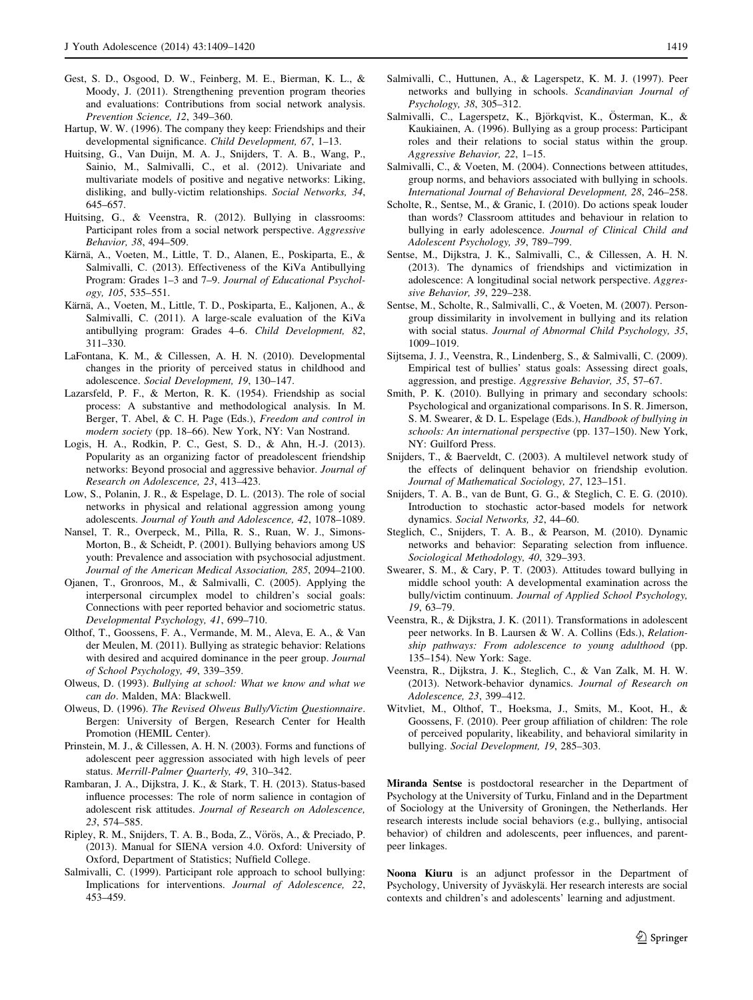- <span id="page-10-0"></span>Gest, S. D., Osgood, D. W., Feinberg, M. E., Bierman, K. L., & Moody, J. (2011). Strengthening prevention program theories and evaluations: Contributions from social network analysis. Prevention Science, 12, 349–360.
- Hartup, W. W. (1996). The company they keep: Friendships and their developmental significance. Child Development, 67, 1–13.
- Huitsing, G., Van Duijn, M. A. J., Snijders, T. A. B., Wang, P., Sainio, M., Salmivalli, C., et al. (2012). Univariate and multivariate models of positive and negative networks: Liking, disliking, and bully-victim relationships. Social Networks, 34, 645–657.
- Huitsing, G., & Veenstra, R. (2012). Bullying in classrooms: Participant roles from a social network perspective. Aggressive Behavior, 38, 494–509.
- Kärnä, A., Voeten, M., Little, T. D., Alanen, E., Poskiparta, E., & Salmivalli, C. (2013). Effectiveness of the KiVa Antibullying Program: Grades 1–3 and 7–9. Journal of Educational Psychology, 105, 535–551.
- Kärnä, A., Voeten, M., Little, T. D., Poskiparta, E., Kaljonen, A., & Salmivalli, C. (2011). A large-scale evaluation of the KiVa antibullying program: Grades 4–6. Child Development, 82, 311–330.
- LaFontana, K. M., & Cillessen, A. H. N. (2010). Developmental changes in the priority of perceived status in childhood and adolescence. Social Development, 19, 130–147.
- Lazarsfeld, P. F., & Merton, R. K. (1954). Friendship as social process: A substantive and methodological analysis. In M. Berger, T. Abel, & C. H. Page (Eds.), Freedom and control in modern society (pp. 18–66). New York, NY: Van Nostrand.
- Logis, H. A., Rodkin, P. C., Gest, S. D., & Ahn, H.-J. (2013). Popularity as an organizing factor of preadolescent friendship networks: Beyond prosocial and aggressive behavior. Journal of Research on Adolescence, 23, 413–423.
- Low, S., Polanin, J. R., & Espelage, D. L. (2013). The role of social networks in physical and relational aggression among young adolescents. Journal of Youth and Adolescence, 42, 1078–1089.
- Nansel, T. R., Overpeck, M., Pilla, R. S., Ruan, W. J., Simons-Morton, B., & Scheidt, P. (2001). Bullying behaviors among US youth: Prevalence and association with psychosocial adjustment. Journal of the American Medical Association, 285, 2094–2100.
- Ojanen, T., Gronroos, M., & Salmivalli, C. (2005). Applying the interpersonal circumplex model to children's social goals: Connections with peer reported behavior and sociometric status. Developmental Psychology, 41, 699–710.
- Olthof, T., Goossens, F. A., Vermande, M. M., Aleva, E. A., & Van der Meulen, M. (2011). Bullying as strategic behavior: Relations with desired and acquired dominance in the peer group. *Journal* of School Psychology, 49, 339–359.
- Olweus, D. (1993). Bullying at school: What we know and what we can do. Malden, MA: Blackwell.
- Olweus, D. (1996). The Revised Olweus Bully/Victim Questionnaire. Bergen: University of Bergen, Research Center for Health Promotion (HEMIL Center).
- Prinstein, M. J., & Cillessen, A. H. N. (2003). Forms and functions of adolescent peer aggression associated with high levels of peer status. Merrill-Palmer Quarterly, 49, 310–342.
- Rambaran, J. A., Dijkstra, J. K., & Stark, T. H. (2013). Status-based influence processes: The role of norm salience in contagion of adolescent risk attitudes. Journal of Research on Adolescence, 23, 574–585.
- Ripley, R. M., Snijders, T. A. B., Boda, Z., Vörös, A., & Preciado, P. (2013). Manual for SIENA version 4.0. Oxford: University of Oxford, Department of Statistics; Nuffield College.
- Salmivalli, C. (1999). Participant role approach to school bullying: Implications for interventions. Journal of Adolescence, 22, 453–459.
- Salmivalli, C., Huttunen, A., & Lagerspetz, K. M. J. (1997). Peer networks and bullying in schools. Scandinavian Journal of Psychology, 38, 305–312.
- Salmivalli, C., Lagerspetz, K., Björkqvist, K., Österman, K., & Kaukiainen, A. (1996). Bullying as a group process: Participant roles and their relations to social status within the group. Aggressive Behavior, 22, 1–15.
- Salmivalli, C., & Voeten, M. (2004). Connections between attitudes, group norms, and behaviors associated with bullying in schools. International Journal of Behavioral Development, 28, 246–258.
- Scholte, R., Sentse, M., & Granic, I. (2010). Do actions speak louder than words? Classroom attitudes and behaviour in relation to bullying in early adolescence. Journal of Clinical Child and Adolescent Psychology, 39, 789–799.
- Sentse, M., Dijkstra, J. K., Salmivalli, C., & Cillessen, A. H. N. (2013). The dynamics of friendships and victimization in adolescence: A longitudinal social network perspective. Aggressive Behavior, 39, 229–238.
- Sentse, M., Scholte, R., Salmivalli, C., & Voeten, M. (2007). Persongroup dissimilarity in involvement in bullying and its relation with social status. Journal of Abnormal Child Psychology, 35, 1009–1019.
- Sijtsema, J. J., Veenstra, R., Lindenberg, S., & Salmivalli, C. (2009). Empirical test of bullies' status goals: Assessing direct goals, aggression, and prestige. Aggressive Behavior, 35, 57–67.
- Smith, P. K. (2010). Bullying in primary and secondary schools: Psychological and organizational comparisons. In S. R. Jimerson, S. M. Swearer, & D. L. Espelage (Eds.), Handbook of bullying in schools: An international perspective (pp. 137–150). New York, NY: Guilford Press.
- Snijders, T., & Baerveldt, C. (2003). A multilevel network study of the effects of delinquent behavior on friendship evolution. Journal of Mathematical Sociology, 27, 123–151.
- Snijders, T. A. B., van de Bunt, G. G., & Steglich, C. E. G. (2010). Introduction to stochastic actor-based models for network dynamics. Social Networks, 32, 44–60.
- Steglich, C., Snijders, T. A. B., & Pearson, M. (2010). Dynamic networks and behavior: Separating selection from influence. Sociological Methodology, 40, 329–393.
- Swearer, S. M., & Cary, P. T. (2003). Attitudes toward bullying in middle school youth: A developmental examination across the bully/victim continuum. Journal of Applied School Psychology, 19, 63–79.
- Veenstra, R., & Dijkstra, J. K. (2011). Transformations in adolescent peer networks. In B. Laursen & W. A. Collins (Eds.), Relationship pathways: From adolescence to young adulthood (pp. 135–154). New York: Sage.
- Veenstra, R., Dijkstra, J. K., Steglich, C., & Van Zalk, M. H. W. (2013). Network-behavior dynamics. Journal of Research on Adolescence, 23, 399–412.
- Witvliet, M., Olthof, T., Hoeksma, J., Smits, M., Koot, H., & Goossens, F. (2010). Peer group affiliation of children: The role of perceived popularity, likeability, and behavioral similarity in bullying. Social Development, 19, 285–303.

Miranda Sentse is postdoctoral researcher in the Department of Psychology at the University of Turku, Finland and in the Department of Sociology at the University of Groningen, the Netherlands. Her research interests include social behaviors (e.g., bullying, antisocial behavior) of children and adolescents, peer influences, and parentpeer linkages.

Noona Kiuru is an adjunct professor in the Department of Psychology, University of Jyväskylä. Her research interests are social contexts and children's and adolescents' learning and adjustment.